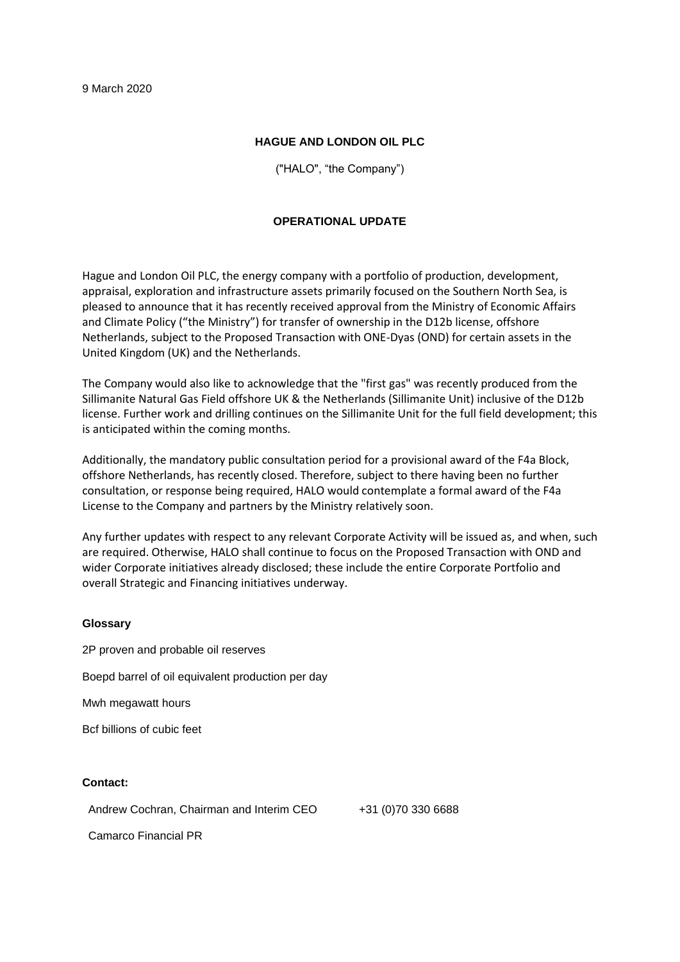## **HAGUE AND LONDON OIL PLC**

("HALO", "the Company")

## **OPERATIONAL UPDATE**

Hague and London Oil PLC, the energy company with a portfolio of production, development, appraisal, exploration and infrastructure assets primarily focused on the Southern North Sea, is pleased to announce that it has recently received approval from the Ministry of Economic Affairs and Climate Policy ("the Ministry") for transfer of ownership in the D12b license, offshore Netherlands, subject to the Proposed Transaction with ONE-Dyas (OND) for certain assets in the United Kingdom (UK) and the Netherlands.

The Company would also like to acknowledge that the "first gas" was recently produced from the Sillimanite Natural Gas Field offshore UK & the Netherlands (Sillimanite Unit) inclusive of the D12b license. Further work and drilling continues on the Sillimanite Unit for the full field development; this is anticipated within the coming months.

Additionally, the mandatory public consultation period for a provisional award of the F4a Block, offshore Netherlands, has recently closed. Therefore, subject to there having been no further consultation, or response being required, HALO would contemplate a formal award of the F4a License to the Company and partners by the Ministry relatively soon.

Any further updates with respect to any relevant Corporate Activity will be issued as, and when, such are required. Otherwise, HALO shall continue to focus on the Proposed Transaction with OND and wider Corporate initiatives already disclosed; these include the entire Corporate Portfolio and overall Strategic and Financing initiatives underway.

## **Glossary**

2P proven and probable oil reserves Boepd barrel of oil equivalent production per day Mwh megawatt hours Bcf billions of cubic feet

## **Contact:**

Andrew Cochran, Chairman and Interim CEO +31 (0)70 330 6688

Camarco Financial PR